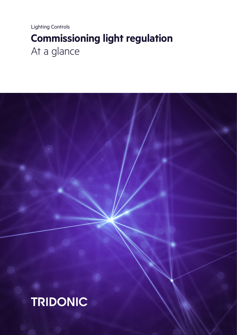Lighting Controls **Commissioning light regulation** At a glance

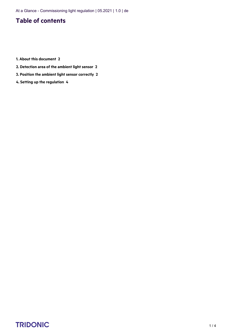At a Glance - Commissioning light regulation | 05.2021 | 1.0 | de

### **Table of contents**

- **1. [About this document 2](#page-2-0)**
- **2. [Detection area of the ambient light sensor 2](#page-2-1)**
- **3. [Position the ambient light sensor correctly 2](#page-2-2)**
- **4. [Setting up the regulation 4](#page-4-0)**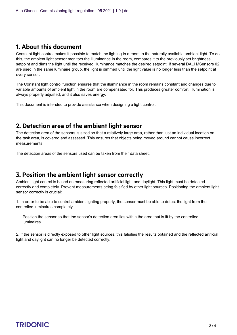### <span id="page-2-0"></span>**1. About this document**

Constant light control makes it possible to match the lighting in a room to the naturally available ambient light. To do this, the ambient light sensor monitors the illuminance in the room, compares it to the previously set brightness setpoint and dims the light until the received illuminance matches the desired setpoint. If several DALI MSensors 02 are used in the same luminaire group, the light is dimmed until the light value is no longer less than the setpoint at every sensor.

The Constant light control function ensures that the illuminance in the room remains constant and changes due to variable amounts of ambient light in the room are compensated for. This produces greater comfort, illumination is always properly adjusted, and it also saves energy.

This document is intended to provide assistance when designing a light control.

#### <span id="page-2-1"></span>**2. Detection area of the ambient light sensor**

The detection area of the sensors is sized so that a relatively large area, rather than just an individual location on the task area, is covered and assessed. This ensures that objects being moved around cannot cause incorrect measurements.

The detection areas of the sensors used can be taken from their data sheet.

### <span id="page-2-2"></span>**3. Position the ambient light sensor correctly**

Ambient light control is based on measuring reflected artificial light and daylight. This light must be detected correctly and completely. Prevent measurements being falsified by other light sources. Positioning the ambient light sensor correctly is crucial:

1. In order to be able to control ambient lighting properly, the sensor must be able to detect the light from the controlled luminaires completely.

Position the sensor so that the sensor's detection area lies within the area that is lit by the controlled luminaires. \_

2. If the sensor is directly exposed to other light sources, this falsifies the results obtained and the reflected artificial light and daylight can no longer be detected correctly.

## $\begin{array}{ccc}\n\textbf{TRIDONIC} & & & & & & \\
\textbf{TRIDONIC} & & & & & & & \\
\end{array}$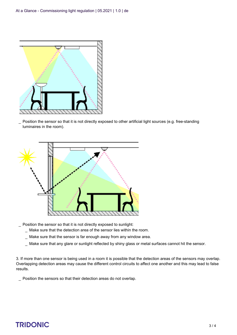

Position the sensor so that it is not directly exposed to other artificial light sources (e.g. free-standing luminaires in the room).  $\overline{a}$ 



- \_ Position the sensor so that it is not directly exposed to sunlight:
	- \_ Make sure that the detection area of the sensor lies within the room.
	- \_ Make sure that the sensor is far enough away from any window area.
	- \_ Make sure that any glare or sunlight reflected by shiny glass or metal surfaces cannot hit the sensor.

3. If more than one sensor is being used in a room it is possible that the detection areas of the sensors may overlap. Overlapping detection areas may cause the different control circuits to affect one another and this may lead to false results.

\_ Position the sensors so that their detection areas do not overlap.

# $\begin{array}{ccc}\n\textbf{TRIDONIC} & & & & & & \\
\textbf{TRIDONIC} & & & & & & \\
\end{array}$